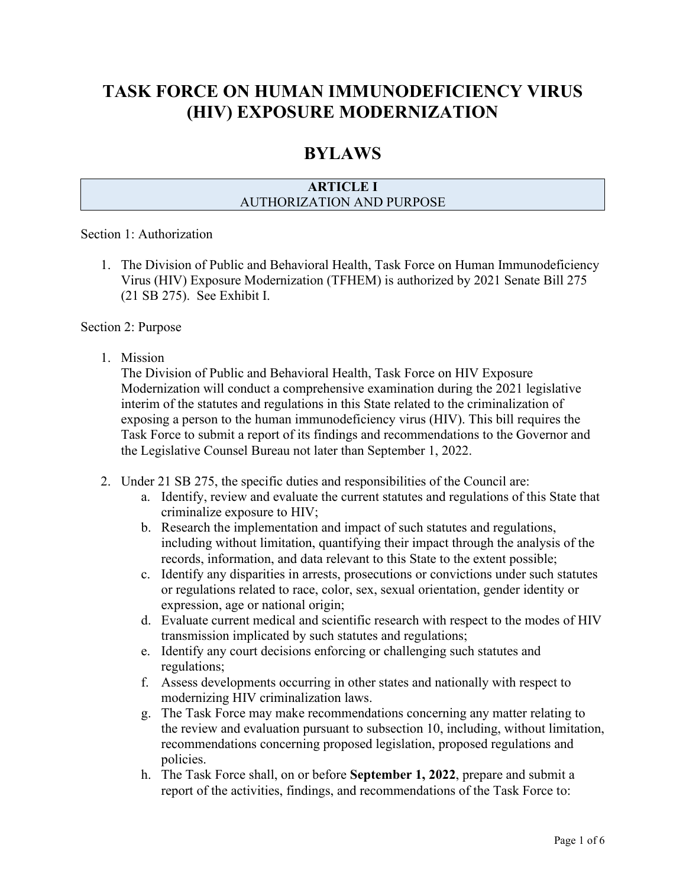# **TASK FORCE ON HUMAN IMMUNODEFICIENCY VIRUS (HIV) EXPOSURE MODERNIZATION**

# **BYLAWS**

## **ARTICLE I** AUTHORIZATION AND PURPOSE

#### Section 1: Authorization

1. The Division of Public and Behavioral Health, Task Force on Human Immunodeficiency Virus (HIV) Exposure Modernization (TFHEM) is authorized by 2021 Senate Bill 275 (21 SB 275). See Exhibit I.

#### Section 2: Purpose

1. Mission

The Division of Public and Behavioral Health, Task Force on HIV Exposure Modernization will conduct a comprehensive examination during the 2021 legislative interim of the statutes and regulations in this State related to the criminalization of exposing a person to the human immunodeficiency virus (HIV). This bill requires the Task Force to submit a report of its findings and recommendations to the Governor and the Legislative Counsel Bureau not later than September 1, 2022.

- 2. Under 21 SB 275, the specific duties and responsibilities of the Council are:
	- a. Identify, review and evaluate the current statutes and regulations of this State that criminalize exposure to HIV;
	- b. Research the implementation and impact of such statutes and regulations, including without limitation, quantifying their impact through the analysis of the records, information, and data relevant to this State to the extent possible;
	- c. Identify any disparities in arrests, prosecutions or convictions under such statutes or regulations related to race, color, sex, sexual orientation, gender identity or expression, age or national origin;
	- d. Evaluate current medical and scientific research with respect to the modes of HIV transmission implicated by such statutes and regulations;
	- e. Identify any court decisions enforcing or challenging such statutes and regulations;
	- f. Assess developments occurring in other states and nationally with respect to modernizing HIV criminalization laws.
	- g. The Task Force may make recommendations concerning any matter relating to the review and evaluation pursuant to subsection 10, including, without limitation, recommendations concerning proposed legislation, proposed regulations and policies.
	- h. The Task Force shall, on or before **September 1, 2022**, prepare and submit a report of the activities, findings, and recommendations of the Task Force to: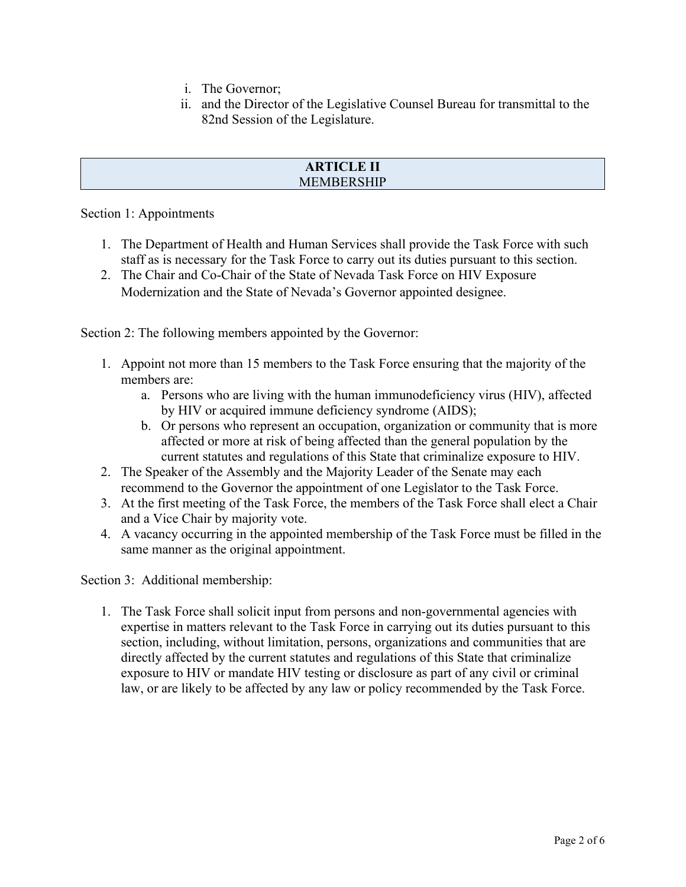- i. The Governor;
- ii. and the Director of the Legislative Counsel Bureau for transmittal to the 82nd Session of the Legislature.

#### **ARTICLE II** MEMBERSHIP

Section 1: Appointments

- 1. The Department of Health and Human Services shall provide the Task Force with such staff as is necessary for the Task Force to carry out its duties pursuant to this section.
- 2. The Chair and Co-Chair of the State of Nevada Task Force on HIV Exposure Modernization and the State of Nevada's Governor appointed designee.

Section 2: The following members appointed by the Governor:

- 1. Appoint not more than 15 members to the Task Force ensuring that the majority of the members are:
	- a. Persons who are living with the human immunodeficiency virus (HIV), affected by HIV or acquired immune deficiency syndrome (AIDS);
	- b. Or persons who represent an occupation, organization or community that is more affected or more at risk of being affected than the general population by the current statutes and regulations of this State that criminalize exposure to HIV.
- 2. The Speaker of the Assembly and the Majority Leader of the Senate may each recommend to the Governor the appointment of one Legislator to the Task Force.
- 3. At the first meeting of the Task Force, the members of the Task Force shall elect a Chair and a Vice Chair by majority vote.
- 4. A vacancy occurring in the appointed membership of the Task Force must be filled in the same manner as the original appointment.

Section 3: Additional membership:

1. The Task Force shall solicit input from persons and non-governmental agencies with expertise in matters relevant to the Task Force in carrying out its duties pursuant to this section, including, without limitation, persons, organizations and communities that are directly affected by the current statutes and regulations of this State that criminalize exposure to HIV or mandate HIV testing or disclosure as part of any civil or criminal law, or are likely to be affected by any law or policy recommended by the Task Force.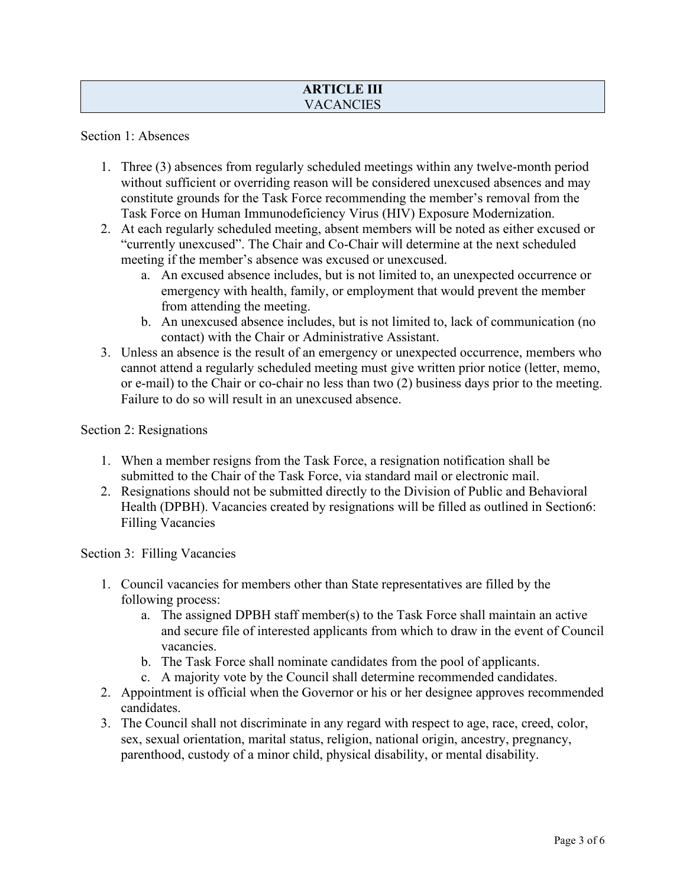## **ARTICLE III VACANCIES**

Section 1: Absences

- 1. Three (3) absences from regularly scheduled meetings within any twelve-month period without sufficient or overriding reason will be considered unexcused absences and may constitute grounds for the Task Force recommending the member's removal from the Task Force on Human Immunodeficiency Virus (HIV) Exposure Modernization.
- 2. At each regularly scheduled meeting, absent members will be noted as either excused or "currently unexcused". The Chair and Co-Chair will determine at the next scheduled meeting if the member's absence was excused or unexcused.
	- a. An excused absence includes, but is not limited to, an unexpected occurrence or emergency with health, family, or employment that would prevent the member from attending the meeting.
	- b. An unexcused absence includes, but is not limited to, lack of communication (no contact) with the Chair or Administrative Assistant.
- 3. Unless an absence is the result of an emergency or unexpected occurrence, members who cannot attend a regularly scheduled meeting must give written prior notice (letter, memo, or e-mail) to the Chair or co-chair no less than two (2) business days prior to the meeting. Failure to do so will result in an unexcused absence.

#### Section 2: Resignations

- 1. When a member resigns from the Task Force, a resignation notification shall be submitted to the Chair of the Task Force, via standard mail or electronic mail.
- 2. Resignations should not be submitted directly to the Division of Public and Behavioral Health (DPBH). Vacancies created by resignations will be filled as outlined in Section6: Filling Vacancies

Section 3: Filling Vacancies

- 1. Council vacancies for members other than State representatives are filled by the following process:
	- a. The assigned DPBH staff member(s) to the Task Force shall maintain an active and secure file of interested applicants from which to draw in the event of Council vacancies.
	- b. The Task Force shall nominate candidates from the pool of applicants.
	- c. A majority vote by the Council shall determine recommended candidates.
- 2. Appointment is official when the Governor or his or her designee approves recommended candidates.
- 3. The Council shall not discriminate in any regard with respect to age, race, creed, color, sex, sexual orientation, marital status, religion, national origin, ancestry, pregnancy, parenthood, custody of a minor child, physical disability, or mental disability.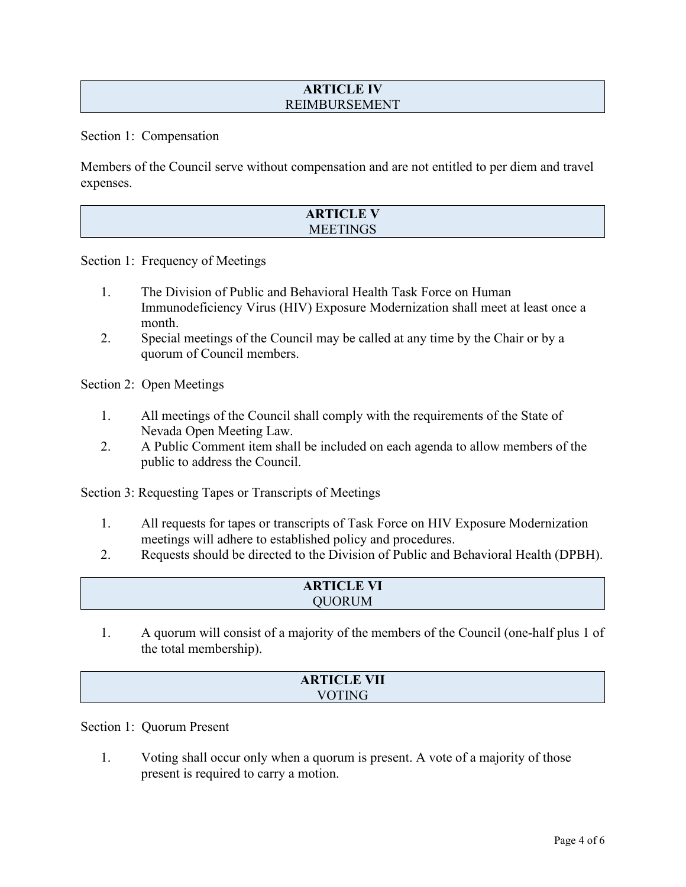#### **ARTICLE IV** REIMBURSEMENT

Section 1: Compensation

Members of the Council serve without compensation and are not entitled to per diem and travel expenses.

| <b>ARTICLE V</b> |  |
|------------------|--|
| <b>MEETINGS</b>  |  |

Section 1: Frequency of Meetings

- 1. The Division of Public and Behavioral Health Task Force on Human Immunodeficiency Virus (HIV) Exposure Modernization shall meet at least once a month.
- 2. Special meetings of the Council may be called at any time by the Chair or by a quorum of Council members.

Section 2: Open Meetings

- 1. All meetings of the Council shall comply with the requirements of the State of Nevada Open Meeting Law.
- 2. A Public Comment item shall be included on each agenda to allow members of the public to address the Council.

Section 3: Requesting Tapes or Transcripts of Meetings

- 1. All requests for tapes or transcripts of Task Force on HIV Exposure Modernization meetings will adhere to established policy and procedures.
- 2. Requests should be directed to the Division of Public and Behavioral Health (DPBH).

| <b>ARTICLE VI</b> |  |
|-------------------|--|
| <b>IM</b>         |  |
|                   |  |

1. A quorum will consist of a majority of the members of the Council (one-half plus 1 of the total membership).

#### **ARTICLE VII** VOTING

Section 1: Quorum Present

1. Voting shall occur only when a quorum is present. A vote of a majority of those present is required to carry a motion.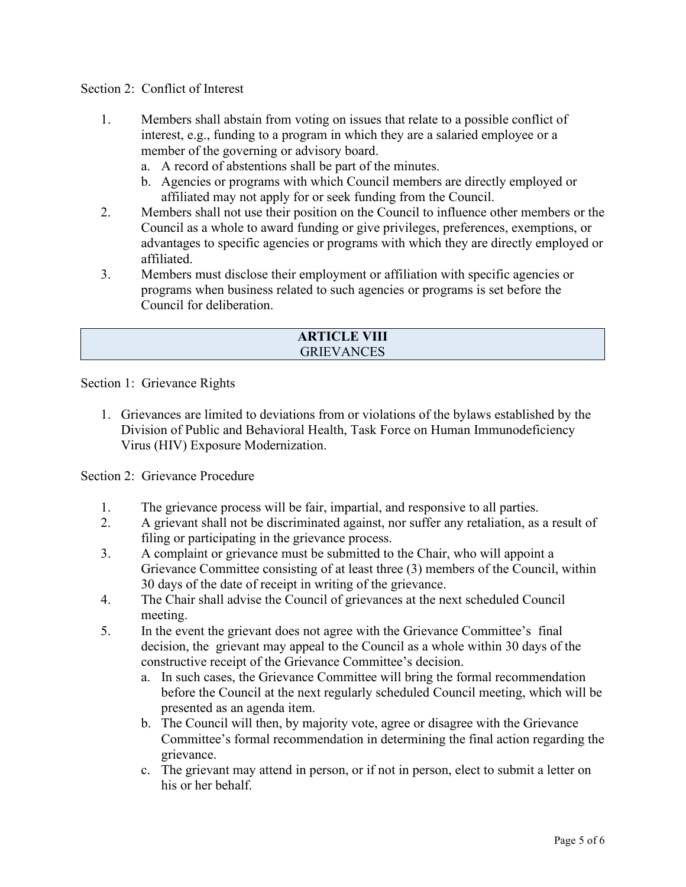#### Section 2: Conflict of Interest

- 1. Members shall abstain from voting on issues that relate to a possible conflict of interest, e.g., funding to a program in which they are a salaried employee or a member of the governing or advisory board.
	- a. A record of abstentions shall be part of the minutes.
	- b. Agencies or programs with which Council members are directly employed or affiliated may not apply for or seek funding from the Council.
- 2. Members shall not use their position on the Council to influence other members or the Council as a whole to award funding or give privileges, preferences, exemptions, or advantages to specific agencies or programs with which they are directly employed or affiliated.
- 3. Members must disclose their employment or affiliation with specific agencies or programs when business related to such agencies or programs is set before the Council for deliberation.

| <b>ARTICLE VIII</b> |
|---------------------|
| <b>GRIEVANCES</b>   |

Section 1: Grievance Rights

1. Grievances are limited to deviations from or violations of the bylaws established by the Division of Public and Behavioral Health, Task Force on Human Immunodeficiency Virus (HIV) Exposure Modernization.

Section 2: Grievance Procedure

- 1. The grievance process will be fair, impartial, and responsive to all parties.
- 2. A grievant shall not be discriminated against, nor suffer any retaliation, as a result of filing or participating in the grievance process.
- 3. A complaint or grievance must be submitted to the Chair, who will appoint a Grievance Committee consisting of at least three (3) members of the Council, within 30 days of the date of receipt in writing of the grievance.
- 4. The Chair shall advise the Council of grievances at the next scheduled Council meeting.
- 5. In the event the grievant does not agree with the Grievance Committee's final decision, the grievant may appeal to the Council as a whole within 30 days of the constructive receipt of the Grievance Committee's decision.
	- a. In such cases, the Grievance Committee will bring the formal recommendation before the Council at the next regularly scheduled Council meeting, which will be presented as an agenda item.
	- b. The Council will then, by majority vote, agree or disagree with the Grievance Committee's formal recommendation in determining the final action regarding the grievance.
	- c. The grievant may attend in person, or if not in person, elect to submit a letter on his or her behalf.